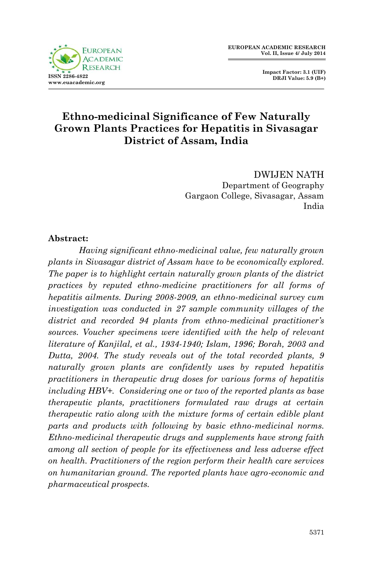

 **Impact Factor: 3.1 (UIF) DRJI Value: 5.9 (B+)**

# **Ethno-medicinal Significance of Few Naturally Grown Plants Practices for Hepatitis in Sivasagar District of Assam, India**

DWIJEN NATH Department of Geography Gargaon College, Sivasagar, Assam India

### **Abstract:**

*Having significant ethno-medicinal value, few naturally grown plants in Sivasagar district of Assam have to be economically explored. The paper is to highlight certain naturally grown plants of the district practices by reputed ethno-medicine practitioners for all forms of hepatitis ailments. During 2008-2009, an ethno-medicinal survey cum investigation was conducted in 27 sample community villages of the district and recorded 94 plants from ethno-medicinal practitioner's sources. Voucher specimens were identified with the help of relevant literature of Kanjilal, et al., 1934-1940; Islam, 1996; Borah, 2003 and Dutta, 2004. The study reveals out of the total recorded plants, 9 naturally grown plants are confidently uses by reputed hepatitis practitioners in therapeutic drug doses for various forms of hepatitis including HBV+. Considering one or two of the reported plants as base therapeutic plants, practitioners formulated raw drugs at certain therapeutic ratio along with the mixture forms of certain edible plant parts and products with following by basic ethno-medicinal norms. Ethno-medicinal therapeutic drugs and supplements have strong faith among all section of people for its effectiveness and less adverse effect on health. Practitioners of the region perform their health care services on humanitarian ground. The reported plants have agro-economic and pharmaceutical prospects.*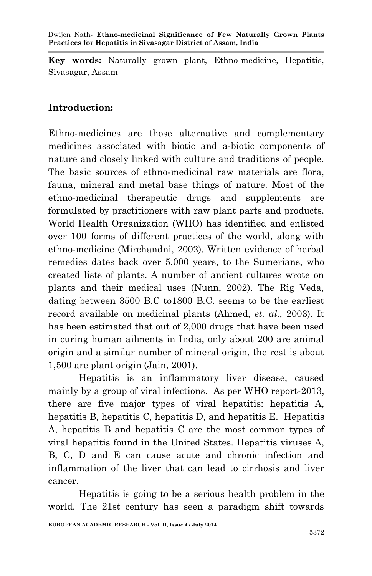**Key words:** Naturally grown plant, Ethno-medicine, Hepatitis, Sivasagar, Assam

# **Introduction:**

Ethno-medicines are those alternative and complementary medicines associated with biotic and a-biotic components of nature and closely linked with culture and traditions of people. The basic sources of ethno-medicinal raw materials are flora, fauna, mineral and metal base things of nature. Most of the ethno-medicinal therapeutic drugs and supplements are formulated by practitioners with raw plant parts and products. World Health Organization (WHO) has identified and enlisted over 100 forms of different practices of the world, along with ethno-medicine (Mirchandni, 2002). Written evidence of herbal remedies dates back over 5,000 years, to the Sumerians, who created lists of plants. A number of ancient cultures wrote on plants and their medical uses (Nunn, 2002). The Rig Veda, dating between 3500 B.C to1800 B.C. seems to be the earliest record available on medicinal plants (Ahmed, *et. al.,* 2003). It has been estimated that out of 2,000 drugs that have been used in curing human ailments in India, only about 200 are animal origin and a similar number of mineral origin, the rest is about 1,500 are plant origin (Jain, 2001).

Hepatitis is an inflammatory liver disease, caused mainly by a group of viral infections. As per WHO report-2013, there are five major types of viral hepatitis: hepatitis A, hepatitis B, hepatitis C, hepatitis D, and hepatitis E. Hepatitis A, hepatitis B and hepatitis C are the most common types of viral hepatitis found in the United States. Hepatitis viruses A, B, C, D and E can cause acute and chronic infection and inflammation of the liver that can lead to cirrhosis and liver cancer.

Hepatitis is going to be a serious health problem in the world. The 21st century has seen a paradigm shift towards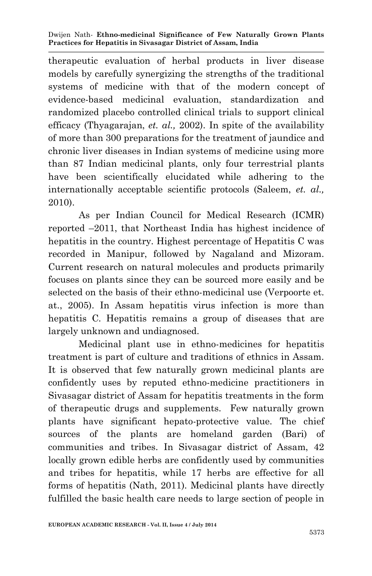therapeutic evaluation of herbal products in liver disease models by carefully synergizing the strengths of the traditional systems of medicine with that of the modern concept of evidence-based medicinal evaluation, standardization and randomized placebo controlled clinical trials to support clinical efficacy (Thyagarajan, *et. al.,* 2002). In spite of the availability of more than 300 preparations for the treatment of jaundice and chronic liver diseases in Indian systems of medicine using more than 87 Indian medicinal plants, only four terrestrial plants have been scientifically elucidated while adhering to the internationally acceptable scientific protocols (Saleem, *et. al.,*  2010).

As per Indian Council for Medical Research (ICMR) reported –2011, that Northeast India has highest incidence of hepatitis in the country. Highest percentage of Hepatitis C was recorded in Manipur, followed by Nagaland and Mizoram. Current research on natural molecules and products primarily focuses on plants since they can be sourced more easily and be selected on the basis of their ethno-medicinal use (Verpoorte et. at., 2005). In Assam hepatitis virus infection is more than hepatitis C. Hepatitis remains a group of diseases that are largely unknown and undiagnosed.

Medicinal plant use in ethno-medicines for hepatitis treatment is part of culture and traditions of ethnics in Assam. It is observed that few naturally grown medicinal plants are confidently uses by reputed ethno-medicine practitioners in Sivasagar district of Assam for hepatitis treatments in the form of therapeutic drugs and supplements. Few naturally grown plants have significant hepato-protective value. The chief sources of the plants are homeland garden (Bari) of communities and tribes. In Sivasagar district of Assam, 42 locally grown edible herbs are confidently used by communities and tribes for hepatitis, while 17 herbs are effective for all forms of hepatitis (Nath, 2011). Medicinal plants have directly fulfilled the basic health care needs to large section of people in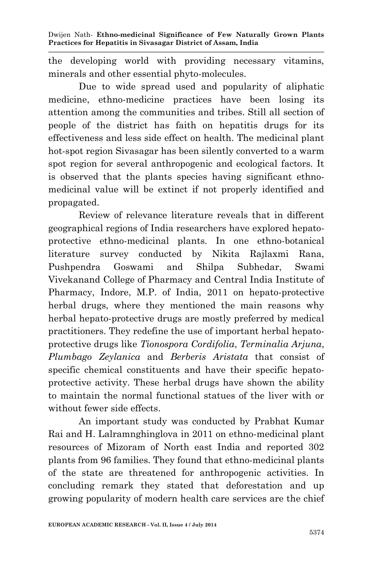the developing world with providing necessary vitamins, minerals and other essential phyto-molecules.

Due to wide spread used and popularity of aliphatic medicine, ethno-medicine practices have been losing its attention among the communities and tribes. Still all section of people of the district has faith on hepatitis drugs for its effectiveness and less side effect on health. The medicinal plant hot-spot region Sivasagar has been silently converted to a warm spot region for several anthropogenic and ecological factors. It is observed that the plants species having significant ethnomedicinal value will be extinct if not properly identified and propagated.

Review of relevance literature reveals that in different geographical regions of India researchers have explored hepatoprotective ethno-medicinal plants. In one ethno-botanical literature survey conducted by Nikita Rajlaxmi Rana, Pushpendra Goswami and Shilpa Subhedar, Swami Vivekanand College of Pharmacy and Central India Institute of Pharmacy, Indore, M.P. of India, 2011 on hepato-protective herbal drugs, where they mentioned the main reasons why herbal hepato-protective drugs are mostly preferred by medical practitioners. They redefine the use of important herbal hepatoprotective drugs like *Tionospora Cordifolia*, *Terminalia Arjuna*, *Plumbago Zeylanica* and *Berberis Aristata* that consist of specific chemical constituents and have their specific hepatoprotective activity. These herbal drugs have shown the ability to maintain the normal functional statues of the liver with or without fewer side effects.

An important study was conducted by Prabhat Kumar Rai and H. Lalramnghinglova in 2011 on ethno-medicinal plant resources of Mizoram of North east India and reported 302 plants from 96 families. They found that ethno-medicinal plants of the state are threatened for anthropogenic activities. In concluding remark they stated that deforestation and up growing popularity of modern health care services are the chief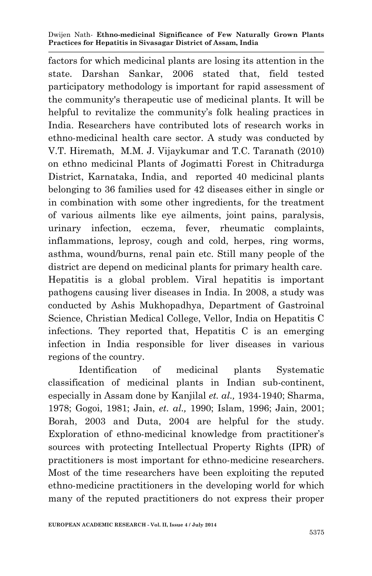factors for which medicinal plants are losing its attention in the state. Darshan Sankar, 2006 stated that, field tested participatory methodology is important for rapid assessment of the community's therapeutic use of medicinal plants. It will be helpful to revitalize the community's folk healing practices in India. Researchers have contributed lots of research works in ethno-medicinal health care sector. A study was conducted by V.T. Hiremath, M.M. J. Vijaykumar and T.C. Taranath (2010) on ethno medicinal Plants of Jogimatti Forest in Chitradurga District, Karnataka, India, and reported 40 medicinal plants belonging to 36 families used for 42 diseases either in single or in combination with some other ingredients, for the treatment of various ailments like eye ailments, joint pains, paralysis, urinary infection, eczema, fever, rheumatic complaints, inflammations, leprosy, cough and cold, herpes, ring worms, asthma, wound/burns, renal pain etc. Still many people of the district are depend on medicinal plants for primary health care. Hepatitis is a global problem. Viral hepatitis is important pathogens causing liver diseases in India. In 2008, a study was conducted by Ashis Mukhopadhya, Department of Gastroinal Science, Christian Medical College, Vellor, India on Hepatitis C infections. They reported that, Hepatitis C is an emerging infection in India responsible for liver diseases in various regions of the country.

Identification of medicinal plants Systematic classification of medicinal plants in Indian sub-continent, especially in Assam done by Kanjilal *et. al.,* 1934-1940; Sharma, 1978; Gogoi, 1981; Jain, *et. al.,* 1990; Islam, 1996; Jain, 2001; Borah, 2003 and Duta, 2004 are helpful for the study. Exploration of ethno-medicinal knowledge from practitioner's sources with protecting Intellectual Property Rights (IPR) of practitioners is most important for ethno-medicine researchers. Most of the time researchers have been exploiting the reputed ethno-medicine practitioners in the developing world for which many of the reputed practitioners do not express their proper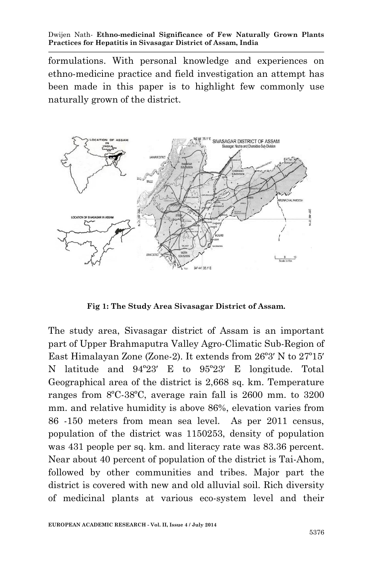formulations. With personal knowledge and experiences on ethno-medicine practice and field investigation an attempt has been made in this paper is to highlight few commonly use naturally grown of the district.



**Fig 1: The Study Area Sivasagar District of Assam.**

The study area, Sivasagar district of Assam is an important part of Upper Brahmaputra Valley Agro-Climatic Sub-Region of East Himalayan Zone (Zone-2). It extends from 26º3′ N to 27º15′ N latitude and 94º23′ E to 95º23′ E longitude. Total Geographical area of the district is 2,668 sq. km. Temperature ranges from 8ºC-38ºC, average rain fall is 2600 mm. to 3200 mm. and relative humidity is above 86%, elevation varies from 86 -150 meters from mean sea level. As per 2011 census, population of the district was 1150253, density of population was 431 people per sq. km. and literacy rate was 83.36 percent. Near about 40 percent of population of the district is Tai-Ahom, followed by other communities and tribes. Major part the district is covered with new and old alluvial soil. Rich diversity of medicinal plants at various eco-system level and their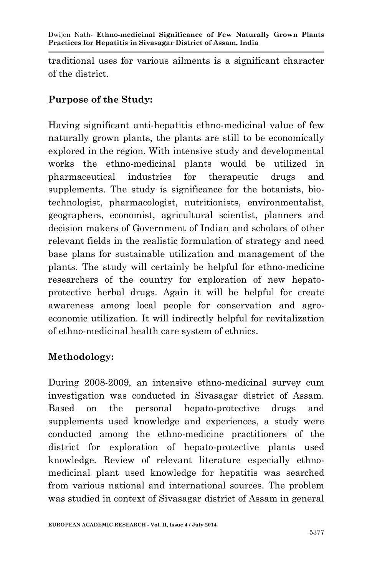traditional uses for various ailments is a significant character of the district.

# **Purpose of the Study:**

Having significant anti-hepatitis ethno-medicinal value of few naturally grown plants, the plants are still to be economically explored in the region. With intensive study and developmental works the ethno-medicinal plants would be utilized in pharmaceutical industries for therapeutic drugs and supplements. The study is significance for the botanists, biotechnologist, pharmacologist, nutritionists, environmentalist, geographers, economist, agricultural scientist, planners and decision makers of Government of Indian and scholars of other relevant fields in the realistic formulation of strategy and need base plans for sustainable utilization and management of the plants. The study will certainly be helpful for ethno-medicine researchers of the country for exploration of new hepatoprotective herbal drugs. Again it will be helpful for create awareness among local people for conservation and agroeconomic utilization. It will indirectly helpful for revitalization of ethno-medicinal health care system of ethnics.

# **Methodology:**

During 2008-2009, an intensive ethno-medicinal survey cum investigation was conducted in Sivasagar district of Assam. Based on the personal hepato-protective drugs and supplements used knowledge and experiences, a study were conducted among the ethno-medicine practitioners of the district for exploration of hepato-protective plants used knowledge. Review of relevant literature especially ethnomedicinal plant used knowledge for hepatitis was searched from various national and international sources. The problem was studied in context of Sivasagar district of Assam in general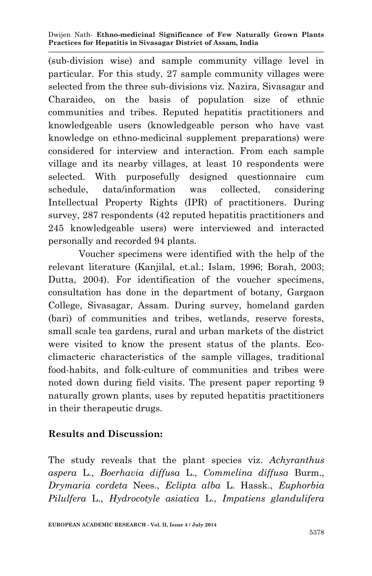(sub-division wise) and sample community village level in particular. For this study, 27 sample community villages were selected from the three sub-divisions viz. Nazira, Sivasagar and Charaideo, on the basis of population size of ethnic communities and tribes. Reputed hepatitis practitioners and knowledgeable users (knowledgeable person who have vast knowledge on ethno-medicinal supplement preparations) were considered for interview and interaction. From each sample village and its nearby villages, at least 10 respondents were selected. With purposefully designed questionnaire cum schedule, data/information was collected, considering Intellectual Property Rights (IPR) of practitioners. During survey, 287 respondents (42 reputed hepatitis practitioners and 245 knowledgeable users) were interviewed and interacted personally and recorded 94 plants.

Voucher specimens were identified with the help of the relevant literature (Kanjilal, et.al.; Islam, 1996; Borah, 2003; Dutta, 2004). For identification of the voucher specimens, consultation has done in the department of botany, Gargaon College, Sivasagar, Assam. During survey, homeland garden (bari) of communities and tribes, wetlands, reserve forests, small scale tea gardens, rural and urban markets of the district were visited to know the present status of the plants. Ecoclimacteric characteristics of the sample villages, traditional food-habits, and folk-culture of communities and tribes were noted down during field visits. The present paper reporting 9 naturally grown plants, uses by reputed hepatitis practitioners in their therapeutic drugs.

### **Results and Discussion:**

The study reveals that the plant species viz. *Achyranthus aspera* L., *Boerhavia diffusa* L., *Commelina diffusa* Burm., *Drymaria cordeta* Nees., *Eclipta alba* L. Hassk., *Euphorbia Pilulfera* L., *Hydrocotyle asiatica* L., *Impatiens glandulifera*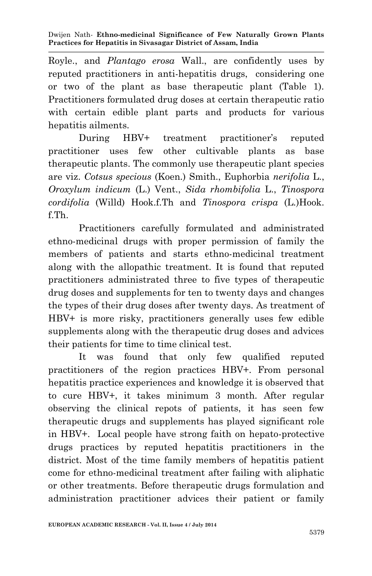Royle., and *Plantago erosa* Wall., are confidently uses by reputed practitioners in anti-hepatitis drugs, considering one or two of the plant as base therapeutic plant (Table 1). Practitioners formulated drug doses at certain therapeutic ratio with certain edible plant parts and products for various hepatitis ailments.

During HBV+ treatment practitioner's reputed practitioner uses few other cultivable plants as base therapeutic plants. The commonly use therapeutic plant species are viz. *Cotsus specious* (Koen.) Smith., Euphorbia *nerifolia* L., *Oroxylum indicum* (L.) Vent., *Sida rhombifolia* L., *Tinospora cordifolia* (Willd) Hook.f.Th and *Tinospora crispa* (L.)Hook. f.Th.

Practitioners carefully formulated and administrated ethno-medicinal drugs with proper permission of family the members of patients and starts ethno-medicinal treatment along with the allopathic treatment. It is found that reputed practitioners administrated three to five types of therapeutic drug doses and supplements for ten to twenty days and changes the types of their drug doses after twenty days. As treatment of HBV+ is more risky, practitioners generally uses few edible supplements along with the therapeutic drug doses and advices their patients for time to time clinical test.

It was found that only few qualified reputed practitioners of the region practices HBV+. From personal hepatitis practice experiences and knowledge it is observed that to cure HBV+, it takes minimum 3 month. After regular observing the clinical repots of patients, it has seen few therapeutic drugs and supplements has played significant role in HBV+. Local people have strong faith on hepato-protective drugs practices by reputed hepatitis practitioners in the district. Most of the time family members of hepatitis patient come for ethno-medicinal treatment after failing with aliphatic or other treatments. Before therapeutic drugs formulation and administration practitioner advices their patient or family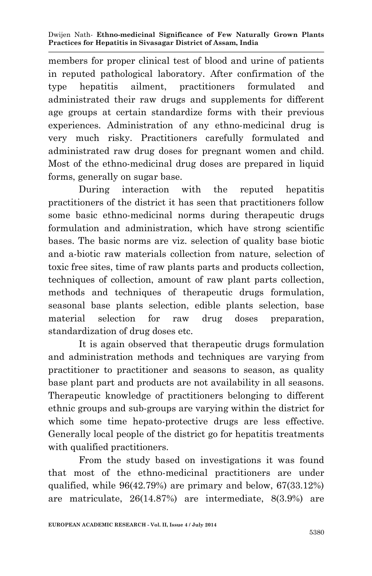members for proper clinical test of blood and urine of patients in reputed pathological laboratory. After confirmation of the type hepatitis ailment, practitioners formulated and administrated their raw drugs and supplements for different age groups at certain standardize forms with their previous experiences. Administration of any ethno-medicinal drug is very much risky. Practitioners carefully formulated and administrated raw drug doses for pregnant women and child. Most of the ethno-medicinal drug doses are prepared in liquid forms, generally on sugar base.

During interaction with the reputed hepatitis practitioners of the district it has seen that practitioners follow some basic ethno-medicinal norms during therapeutic drugs formulation and administration, which have strong scientific bases. The basic norms are viz. selection of quality base biotic and a-biotic raw materials collection from nature, selection of toxic free sites, time of raw plants parts and products collection, techniques of collection, amount of raw plant parts collection, methods and techniques of therapeutic drugs formulation, seasonal base plants selection, edible plants selection, base material selection for raw drug doses preparation, standardization of drug doses etc.

It is again observed that therapeutic drugs formulation and administration methods and techniques are varying from practitioner to practitioner and seasons to season, as quality base plant part and products are not availability in all seasons. Therapeutic knowledge of practitioners belonging to different ethnic groups and sub-groups are varying within the district for which some time hepato-protective drugs are less effective. Generally local people of the district go for hepatitis treatments with qualified practitioners.

From the study based on investigations it was found that most of the ethno-medicinal practitioners are under qualified, while 96(42.79%) are primary and below, 67(33.12%) are matriculate, 26(14.87%) are intermediate, 8(3.9%) are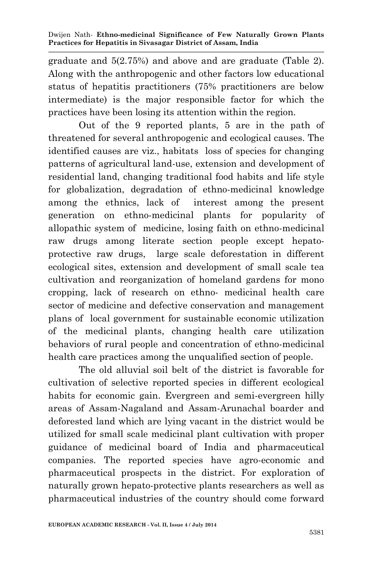graduate and 5(2.75%) and above and are graduate (Table 2). Along with the anthropogenic and other factors low educational status of hepatitis practitioners (75% practitioners are below intermediate) is the major responsible factor for which the practices have been losing its attention within the region.

Out of the 9 reported plants, 5 are in the path of threatened for several anthropogenic and ecological causes. The identified causes are viz., habitats loss of species for changing patterns of agricultural land-use, extension and development of residential land, changing traditional food habits and life style for globalization, degradation of ethno-medicinal knowledge among the ethnics, lack of interest among the present generation on ethno-medicinal plants for popularity of allopathic system of medicine, losing faith on ethno-medicinal raw drugs among literate section people except hepatoprotective raw drugs, large scale deforestation in different ecological sites, extension and development of small scale tea cultivation and reorganization of homeland gardens for mono cropping, lack of research on ethno- medicinal health care sector of medicine and defective conservation and management plans of local government for sustainable economic utilization of the medicinal plants, changing health care utilization behaviors of rural people and concentration of ethno-medicinal health care practices among the unqualified section of people.

The old alluvial soil belt of the district is favorable for cultivation of selective reported species in different ecological habits for economic gain. Evergreen and semi-evergreen hilly areas of Assam-Nagaland and Assam-Arunachal boarder and deforested land which are lying vacant in the district would be utilized for small scale medicinal plant cultivation with proper guidance of medicinal board of India and pharmaceutical companies. The reported species have agro-economic and pharmaceutical prospects in the district. For exploration of naturally grown hepato-protective plants researchers as well as pharmaceutical industries of the country should come forward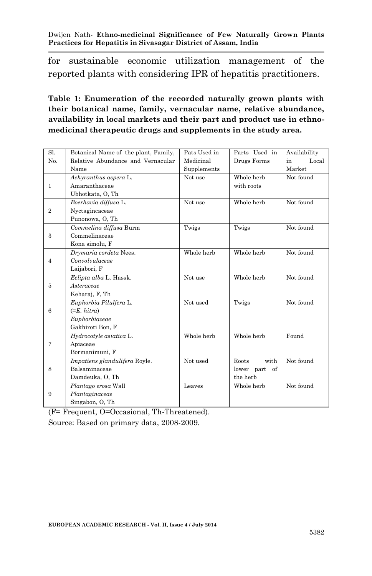for sustainable economic utilization management of the reported plants with considering IPR of hepatitis practitioners.

### **Table 1: Enumeration of the recorded naturally grown plants with their botanical name, family, vernacular name, relative abundance, availability in local markets and their part and product use in ethnomedicinal therapeutic drugs and supplements in the study area.**

| Sl.          | Botanical Name of the plant, Family, | Pats Used in | Parts Used in | Availability |
|--------------|--------------------------------------|--------------|---------------|--------------|
| No.          | Relative Abundance and Vernacular    | Medicinal    | Drugs Forms   | Local<br>in  |
|              | Name                                 | Supplements  |               | Market       |
|              | Achyranthus aspera L.                | Not use      | Whole herb    | Not found    |
| 1            | Amaranthaceae                        |              | with roots    |              |
|              | Ubhotkata, O, Th                     |              |               |              |
|              | Boerhavia diffusa L.                 | Not use      | Whole herb    | Not found    |
| $\mathbf{2}$ | Nyctagincaceae                       |              |               |              |
|              | Punonowa, O, Th                      |              |               |              |
|              | Commelina diffusa Burm               | Twigs        | Twigs         | Not found    |
| 3            | Commelinaceae                        |              |               |              |
|              | Kona simolu, F                       |              |               |              |
|              | Drymaria cordeta Nees.               | Whole herb   | Whole herb    | Not found    |
| 4            | Convolvulaceae                       |              |               |              |
|              | Laijabori, F                         |              |               |              |
|              | Eclipta alba L. Hassk.               | Not use      | Whole herb    | Not found    |
| 5            | Asteraceae                           |              |               |              |
|              | Keharaj, F, Th                       |              |               |              |
|              | Euphorbia Pilulfera L.               | Not used     | Twigs         | Not found    |
| 6            | $(=E. hitra)$                        |              |               |              |
|              | Euphorbiaceae                        |              |               |              |
|              | Gakhiroti Bon, F                     |              |               |              |
|              | Hydrocotyle asiatica L.              | Whole herb   | Whole herb    | Found        |
| 7            | Apiaceae                             |              |               |              |
|              | Bormanimuni, F                       |              |               |              |
|              | Impatiens glandulifera Royle.        | Not used     | Roots<br>with | Not found    |
| 8            | Balsaminaceae                        |              | lower part of |              |
|              | Damdeuka, O, Th                      |              | the herb      |              |
|              | Plantago erosa Wall                  | Leaves       | Whole herb    | Not found    |
| 9            | Plantaginaceae                       |              |               |              |
|              | Singabon, O, Th                      |              |               |              |

(F= Frequent, O=Occasional, Th-Threatened). Source: Based on primary data, 2008-2009.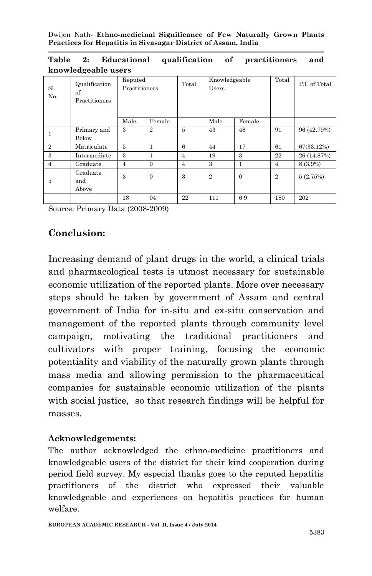|  |                     |  | Table 2: Educational qualification of practitioners and |  |
|--|---------------------|--|---------------------------------------------------------|--|
|  | knowledgeable users |  |                                                         |  |

| Sl.<br>N <sub>0</sub> | Qualification<br>of<br>Practitioners | Reputed<br>Practitioners |                | Total          | Knowledgeable<br>Users |              | Total          | P.C of Total |
|-----------------------|--------------------------------------|--------------------------|----------------|----------------|------------------------|--------------|----------------|--------------|
|                       |                                      | Male                     | Female         |                | Male                   | Female       |                |              |
|                       | Primary and<br>Below                 | 3                        | $\overline{2}$ | 5              | 43                     | 48           | 91             | 96 (42.79%)  |
| $\mathbf{2}$          | Matriculate                          | $\mathbf{5}$             | 1              | 6              | 44                     | 17           | 61             | 67(33.12%)   |
| 3                     | Intermediate                         | 3                        |                | $\overline{4}$ | 19                     | 3            | 22             | 26 (14.87%)  |
| $\overline{4}$        | Graduate                             | $\overline{4}$           | $\Omega$       | $\overline{4}$ | 3                      | 1            | $\overline{4}$ | 8 (3.9%)     |
| 5                     | Graduate<br>and<br>Above             | 3                        | $\Omega$       | 3              | $\overline{2}$         | $\mathbf{0}$ | $\overline{2}$ | 5(2.75%)     |
|                       |                                      | 18                       | 04             | 22             | 111                    | 69           | 180            | 202          |

Source: Primary Data (2008-2009)

### **Conclusion:**

Increasing demand of plant drugs in the world, a clinical trials and pharmacological tests is utmost necessary for sustainable economic utilization of the reported plants. More over necessary steps should be taken by government of Assam and central government of India for in-situ and ex-situ conservation and management of the reported plants through community level campaign, motivating the traditional practitioners and cultivators with proper training, focusing the economic potentiality and viability of the naturally grown plants through mass media and allowing permission to the pharmaceutical companies for sustainable economic utilization of the plants with social justice, so that research findings will be helpful for masses.

### **Acknowledgements:**

The author acknowledged the ethno-medicine practitioners and knowledgeable users of the district for their kind cooperation during period field survey. My especial thanks goes to the reputed hepatitis practitioners of the district who expressed their valuable knowledgeable and experiences on hepatitis practices for human welfare.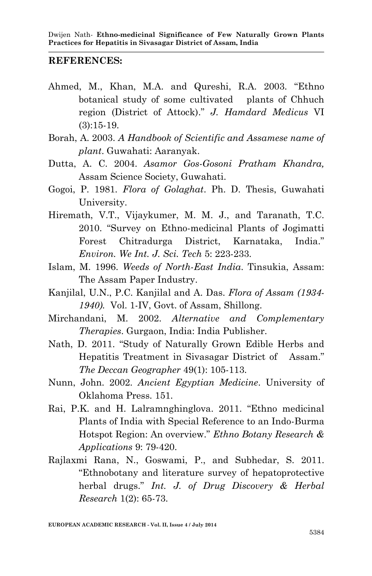#### **REFERENCES:**

- Ahmed, M., Khan, M.A. and Qureshi, R.A. 2003. "Ethno botanical study of some cultivated plants of Chhuch region (District of Attock)." *J. Hamdard Medicus* VI (3):15-19.
- Borah, A. 2003. *A Handbook of Scientific and Assamese name of plant*. Guwahati: Aaranyak.
- Dutta, A. C. 2004. *Asamor Gos-Gosoni Pratham Khandra,* Assam Science Society, Guwahati.
- Gogoi, P. 1981. *Flora of Golaghat*. Ph. D. Thesis, Guwahati University.
- Hiremath, V.T., Vijaykumer, M. M. J., and Taranath, T.C. 2010. "Survey on Ethno-medicinal Plants of Jogimatti Forest Chitradurga District, Karnataka, India." *Environ. We Int. J. Sci. Tech* 5: 223-233.
- Islam, M. 1996. *Weeds of North-East India*. Tinsukia, Assam: The Assam Paper Industry.
- Kanjilal, U.N., P.C. Kanjilal and A. Das. *Flora of Assam (1934- 1940).* Vol. 1-IV, Govt. of Assam, Shillong.
- Mirchandani, M. 2002. *Alternative and Complementary Therapies*. Gurgaon, India: India Publisher.
- Nath, D. 2011. "Study of Naturally Grown Edible Herbs and Hepatitis Treatment in Sivasagar District of Assam." *The Deccan Geographer* 49(1): 105-113.
- Nunn, John. 2002. *Ancient Egyptian Medicine*. University of Oklahoma Press. 151.
- Rai, P.K. and H. Lalramnghinglova. 2011. "Ethno medicinal Plants of India with Special Reference to an Indo-Burma Hotspot Region: An overview." *Ethno Botany Research & Applications* 9: 79-420.
- Rajlaxmi Rana, N., Goswami, P., and Subhedar, S. 2011. "Ethnobotany and literature survey of hepatoprotective herbal drugs." *Int. J. of Drug Discovery & Herbal Research* 1(2): 65-73.